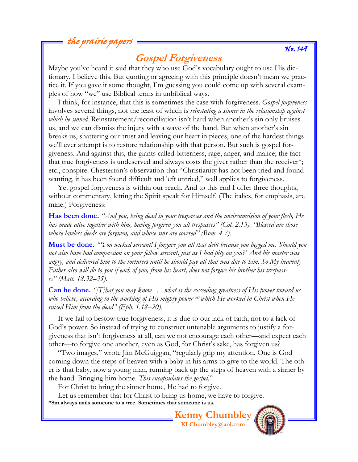## the prairie pa<sub>p</sub>

## **Gospel Forgiveness**

Maybe you've heard it said that they who use God's vocabulary ought to use His dictionary. I believe this. But quoting or agreeing with this principle doesn't mean we practice it. If you gave it some thought, I'm guessing you could come up with several examples of how "we" use Biblical terms in unbiblical ways.

 I think, for instance, that this is sometimes the case with forgiveness. *Gospel forgiveness*  involves several things, not the least of which is *reinstating a sinner in the relationship against which he sinned.* Reinstatement/reconciliation isn't hard when another's sin only bruises us, and we can dismiss the injury with a wave of the hand. But when another's sin breaks us, shattering our trust and leaving our heart in pieces, one of the hardest things we'll ever attempt is to restore relationship with that person. But such is gospel forgiveness. And against this, the giants called bitterness, rage, anger, and malice; the fact that true forgiveness is undeserved and always costs the giver rather than the receiver\*; etc., conspire. Chesterton's observation that "Christianity has not been tried and found wanting, it has been found difficult and left untried," well applies to forgiveness.

 Yet gospel forgiveness is within our reach. And to this end I offer three thoughts, without commentary, letting the Spirit speak for Himself. (The italics, for emphasis, are mine.) Forgiveness:

**Has been done.** *"And you, being dead in your trespasses and the uncircumcision of your flesh, He has made alive together with him, having forgiven you all trespasses" (Col. 2.13). "Blessed are those whose lawless deeds are forgiven, and whose sins are covered" (Rom. 4.7).* 

**Must be done.** *"'You wicked servant! I forgave you all that debt because you begged me. Should you not also have had compassion on your fellow servant, just as I had pity on you?' And his master was angry, and delivered him to the torturers until he should pay all that was due to him. So My heavenly Father also will do to you if each of you, from his heart, does not forgive his brother his trespasses" (Matt. 18.32–35).*

**Can be done.** *"[T]hat you may know . . . what is the exceeding greatness of His power toward us who believe, according to the working of His mighty power 20 which He worked in Christ when He raised Him from the dead" (Eph. 1.18–20).* 

 If we fail to bestow true forgiveness, it is due to our lack of faith, not to a lack of God's power. So instead of trying to construct untenable arguments to justify a forgiveness that isn't forgiveness at all, can we not encourage each other—and expect each other—to forgive one another, even as God, for Christ's sake, has forgiven us?

 "Two images," wrote Jim McGuiggan, "regularly grip my attention. One is God coming down the steps of heaven with a baby in his arms to give to the world. The other is that baby, now a young man, running back up the steps of heaven with a sinner by the hand. Bringing him home. *This encapsulates the gospel.*"

For Christ to bring the sinner home, He had to forgive.

 Let us remember that for Christ to bring us home, we have to forgive. **\*Sin always nails someone to a tree. Sometimes that someone is us.** 

> **Kenny Chumbley KLChumbley@aol.com**



## No. 149